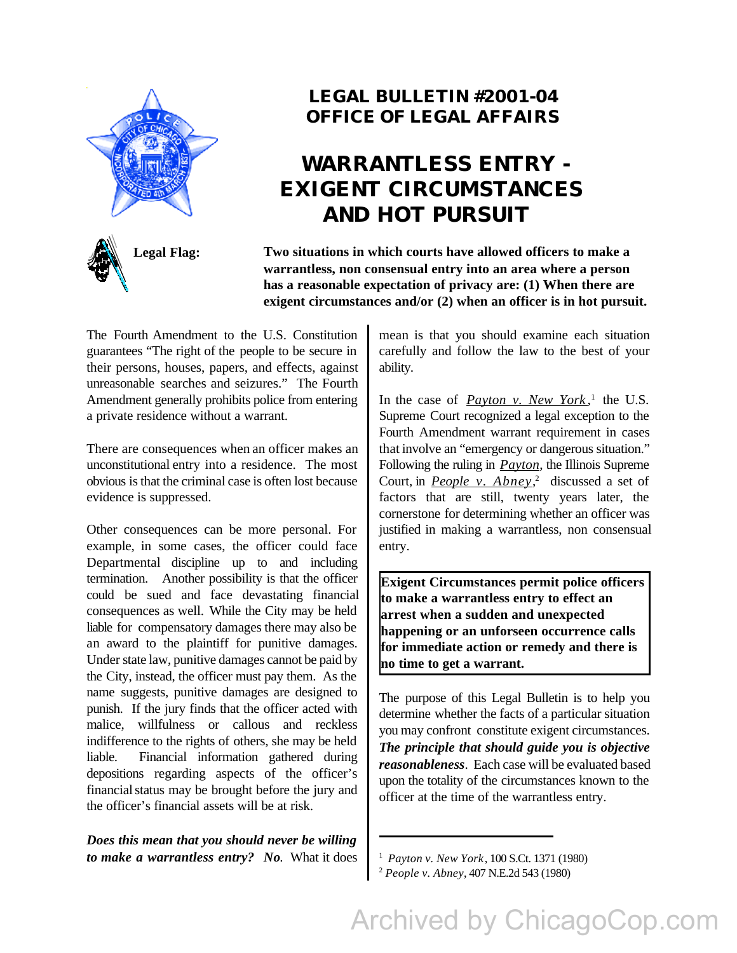



## **LEGAL BULLETIN #2001-04 OFFICE OF LEGAL AFFAIRS**

## **WARRANTLESS ENTRY - EXIGENT CIRCUMSTANCES AND HOT PURSUIT**

**Legal Flag: Two situations in which courts have allowed officers to make a warrantless, non consensual entry into an area where a person has a reasonable expectation of privacy are: (1) When there are exigent circumstances and/or (2) when an officer is in hot pursuit.**

The Fourth Amendment to the U.S. Constitution guarantees "The right of the people to be secure in their persons, houses, papers, and effects, against unreasonable searches and seizures." The Fourth Amendment generally prohibits police from entering a private residence without a warrant.

There are consequences when an officer makes an unconstitutional entry into a residence. The most obvious is that the criminal case is often lost because evidence is suppressed.

Other consequences can be more personal. For example, in some cases, the officer could face Departmental discipline up to and including termination. Another possibility is that the officer could be sued and face devastating financial consequences as well. While the City may be held liable for compensatory damages there may also be an award to the plaintiff for punitive damages. Under state law, punitive damages cannot be paid by the City, instead, the officer must pay them. As the name suggests, punitive damages are designed to punish. If the jury finds that the officer acted with malice, willfulness or callous and reckless indifference to the rights of others, she may be held liable. Financial information gathered during depositions regarding aspects of the officer's financial status may be brought before the jury and the officer's financial assets will be at risk.

*Does this mean that you should never be willing to make a warrantless entry? No*. What it does mean is that you should examine each situation carefully and follow the law to the best of your ability.

In the case of *Payton v. New York*,<sup>1</sup> the U.S. Supreme Court recognized a legal exception to the Fourth Amendment warrant requirement in cases that involve an "emergency or dangerous situation." Following the ruling in *Payton*, the Illinois Supreme Court, in *People v. Abney*, 2 discussed a set of factors that are still, twenty years later, the cornerstone for determining whether an officer was justified in making a warrantless, non consensual entry.

**Exigent Circumstances permit police officers to make a warrantless entry to effect an arrest when a sudden and unexpected happening or an unforseen occurrence calls for immediate action or remedy and there is no time to get a warrant.**

The purpose of this Legal Bulletin is to help you determine whether the facts of a particular situation you may confront constitute exigent circumstances. *The principle that should guide you is objective reasonableness*. Each case will be evaluated based upon the totality of the circumstances known to the officer at the time of the warrantless entry.

1 *Payton v. New York*, 100 S.Ct. 1371 (1980)

<sup>2</sup> *People v. Abney*, 407 N.E.2d 543 (1980)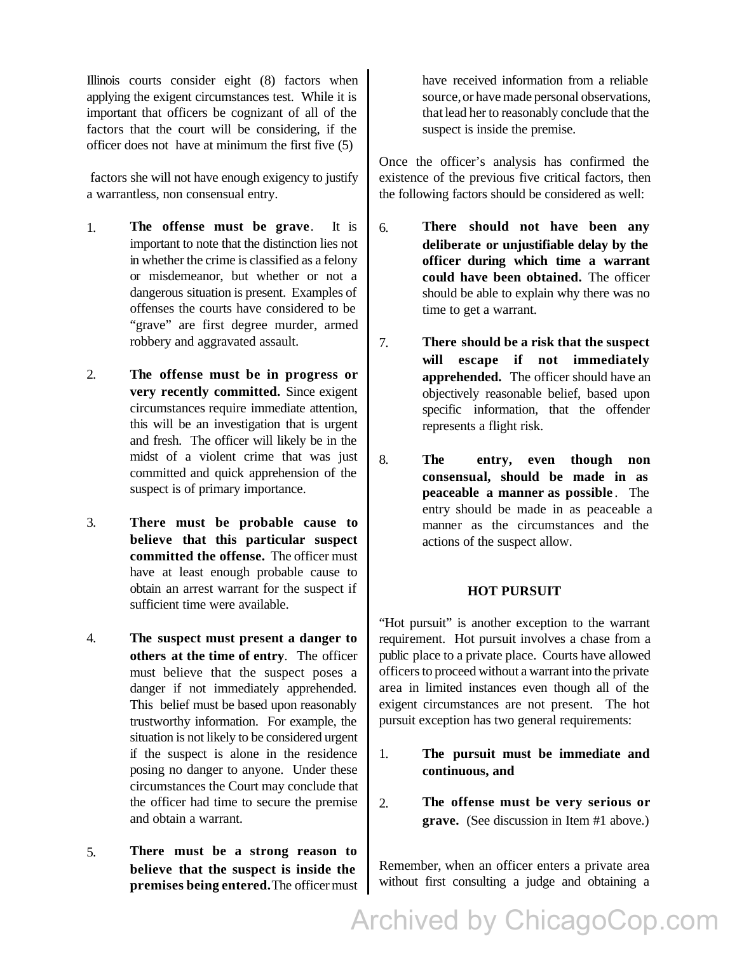Illinois courts consider eight (8) factors when applying the exigent circumstances test. While it is important that officers be cognizant of all of the factors that the court will be considering, if the officer does not have at minimum the first five (5)

 factors she will not have enough exigency to justify a warrantless, non consensual entry.

- 1. **The offense must be grave**. It is important to note that the distinction lies not in whether the crime is classified as a felony or misdemeanor, but whether or not a dangerous situation is present. Examples of offenses the courts have considered to be "grave" are first degree murder, armed robbery and aggravated assault.
- 2. **The offense must be in progress or very recently committed.** Since exigent circumstances require immediate attention, this will be an investigation that is urgent and fresh. The officer will likely be in the midst of a violent crime that was just committed and quick apprehension of the suspect is of primary importance.
- 3. **There must be probable cause to believe that this particular suspect committed the offense.** The officer must have at least enough probable cause to obtain an arrest warrant for the suspect if sufficient time were available.
- 4. **The suspect must present a danger to others at the time of entry**. The officer must believe that the suspect poses a danger if not immediately apprehended. This belief must be based upon reasonably trustworthy information. For example, the situation is not likely to be considered urgent if the suspect is alone in the residence posing no danger to anyone. Under these circumstances the Court may conclude that the officer had time to secure the premise and obtain a warrant.
- 5. **There must be a strong reason to believe that the suspect is inside the premises being entered.** The officer must

have received information from a reliable source, or have made personal observations, that lead her to reasonably conclude that the suspect is inside the premise.

Once the officer's analysis has confirmed the existence of the previous five critical factors, then the following factors should be considered as well:

- 6. **There should not have been any deliberate or unjustifiable delay by the officer during which time a warrant could have been obtained.** The officer should be able to explain why there was no time to get a warrant.
- 7. **There should be a risk that the suspect will escape if not immediately apprehended.** The officer should have an objectively reasonable belief, based upon specific information, that the offender represents a flight risk.
- 8. **The entry, even though non consensual, should be made in as peaceable a manner as possible** . The entry should be made in as peaceable a manner as the circumstances and the actions of the suspect allow.

## **HOT PURSUIT**

"Hot pursuit" is another exception to the warrant requirement. Hot pursuit involves a chase from a public place to a private place. Courts have allowed officers to proceed without a warrant into the private area in limited instances even though all of the exigent circumstances are not present. The hot pursuit exception has two general requirements:

- 1. **The pursuit must be immediate and continuous, and**
- 2. **The offense must be very serious or grave.** (See discussion in Item #1 above.)

Remember, when an officer enters a private area without first consulting a judge and obtaining a

Archived by ChicagoCop.com